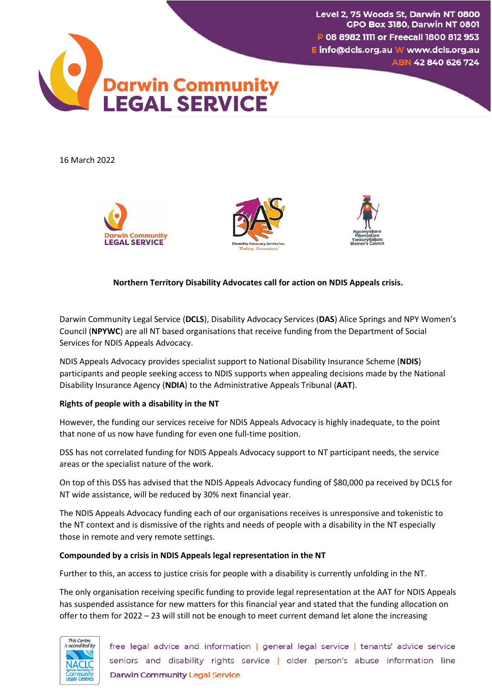Level 2, 75 Woods St, Darwin NT 0800 **GPO Box 3180, Darwin NT 0801** P 08 8982 1111 or Freecall 1800 812 953 E info@dcls.org.au W www.dcls.org.au ABN 42 840 626 724



16 March 2022







# **Northern Territory Disability Advocates call for action on NDIS Appeals crisis.**

Darwin Community Legal Service (**DCLS**), Disability Advocacy Services (**DAS**) Alice Springs and NPY Women's Council (**NPYWC**) are all NT based organisations that receive funding from the Department of Social Services for NDIS Appeals Advocacy.

NDIS Appeals Advocacy provides specialist support to National Disability Insurance Scheme (**NDIS**) participants and people seeking access to NDIS supports when appealing decisions made by the National Disability Insurance Agency (**NDIA**) to the Administrative Appeals Tribunal (**AAT**).

## **Rights of people with a disability in the NT**

However, the funding our services receive for NDIS Appeals Advocacy is highly inadequate, to the point that none of us now have funding for even one full-time position.

DSS has not correlated funding for NDIS Appeals Advocacy support to NT participant needs, the service areas or the specialist nature of the work.

On top of this DSS has advised that the NDIS Appeals Advocacy funding of \$80,000 pa received by DCLS for NT wide assistance, will be reduced by 30% next financial year.

The NDIS Appeals Advocacy funding each of our organisations receives is unresponsive and tokenistic to the NT context and is dismissive of the rights and needs of people with a disability in the NT especially those in remote and very remote settings.

## **Compounded by a crisis in NDIS Appeals legal representation in the NT**

Further to this, an access to justice crisis for people with a disability is currently unfolding in the NT.

The only organisation receiving specific funding to provide legal representation at the AAT for NDIS Appeals has suspended assistance for new matters for this financial year and stated that the funding allocation on offer to them for 2022 – 23 will still not be enough to meet current demand let alone the increasing



free legal advice and information | general legal service | tenants' advice service seniors and disability rights service | older person's abuse information line **Darwin Community Legal Service**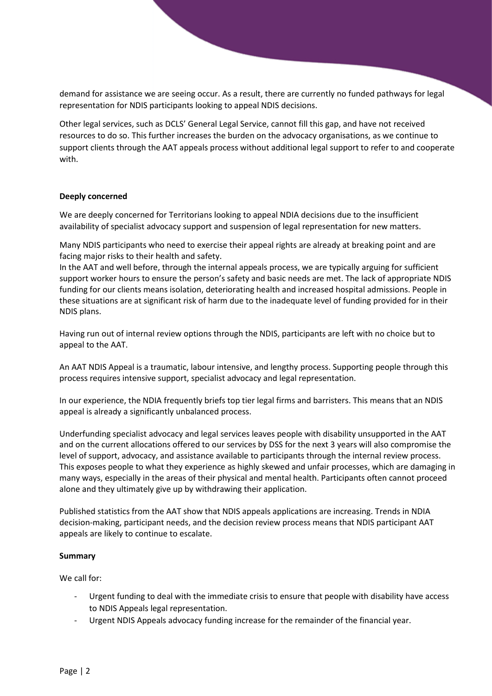demand for assistance we are seeing occur. As a result, there are currently no funded pathways for legal representation for NDIS participants looking to appeal NDIS decisions.

Other legal services, such as DCLS' General Legal Service, cannot fill this gap, and have not received resources to do so. This further increases the burden on the advocacy organisations, as we continue to support clients through the AAT appeals process without additional legal support to refer to and cooperate with.

## **Deeply concerned**

We are deeply concerned for Territorians looking to appeal NDIA decisions due to the insufficient availability of specialist advocacy support and suspension of legal representation for new matters.

Many NDIS participants who need to exercise their appeal rights are already at breaking point and are facing major risks to their health and safety.

In the AAT and well before, through the internal appeals process, we are typically arguing for sufficient support worker hours to ensure the person's safety and basic needs are met. The lack of appropriate NDIS funding for our clients means isolation, deteriorating health and increased hospital admissions. People in these situations are at significant risk of harm due to the inadequate level of funding provided for in their NDIS plans.

Having run out of internal review options through the NDIS, participants are left with no choice but to appeal to the AAT.

An AAT NDIS Appeal is a traumatic, labour intensive, and lengthy process. Supporting people through this process requires intensive support, specialist advocacy and legal representation.

In our experience, the NDIA frequently briefs top tier legal firms and barristers. This means that an NDIS appeal is already a significantly unbalanced process.

Underfunding specialist advocacy and legal services leaves people with disability unsupported in the AAT and on the current allocations offered to our services by DSS for the next 3 years will also compromise the level of support, advocacy, and assistance available to participants through the internal review process. This exposes people to what they experience as highly skewed and unfair processes, which are damaging in many ways, especially in the areas of their physical and mental health. Participants often cannot proceed alone and they ultimately give up by withdrawing their application.

Published statistics from the AAT show that NDIS appeals applications are increasing. Trends in NDIA decision-making, participant needs, and the decision review process means that NDIS participant AAT appeals are likely to continue to escalate.

## **Summary**

We call for:

- Urgent funding to deal with the immediate crisis to ensure that people with disability have access to NDIS Appeals legal representation.
- Urgent NDIS Appeals advocacy funding increase for the remainder of the financial year.